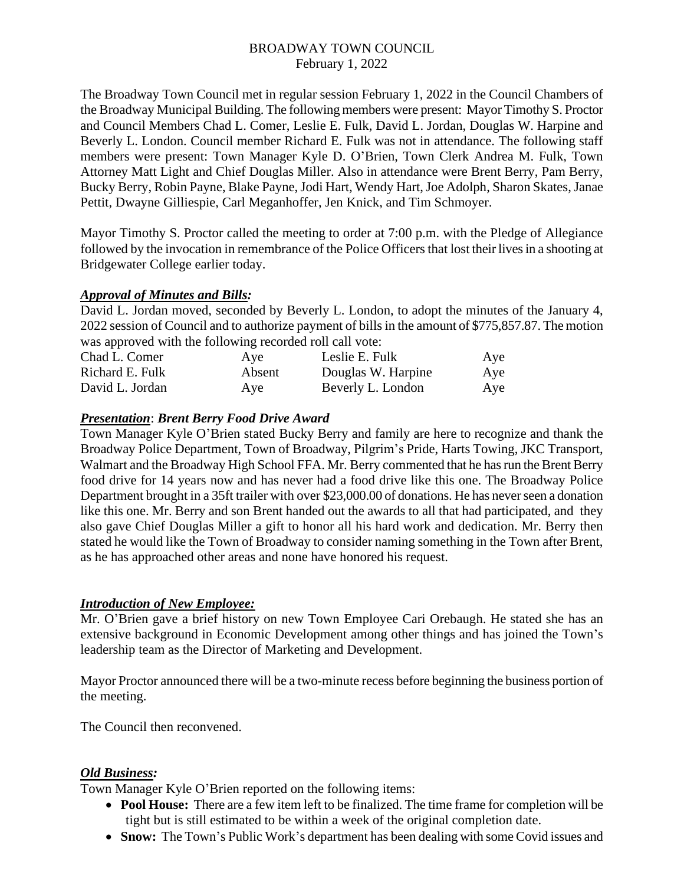## BROADWAY TOWN COUNCIL February 1, 2022

The Broadway Town Council met in regular session February 1, 2022 in the Council Chambers of the Broadway Municipal Building. The following members were present: Mayor Timothy S. Proctor and Council Members Chad L. Comer, Leslie E. Fulk, David L. Jordan, Douglas W. Harpine and Beverly L. London. Council member Richard E. Fulk was not in attendance. The following staff members were present: Town Manager Kyle D. O'Brien, Town Clerk Andrea M. Fulk, Town Attorney Matt Light and Chief Douglas Miller. Also in attendance were Brent Berry, Pam Berry, Bucky Berry, Robin Payne, Blake Payne, Jodi Hart, Wendy Hart, Joe Adolph, Sharon Skates, Janae Pettit, Dwayne Gilliespie, Carl Meganhoffer, Jen Knick, and Tim Schmoyer.

Mayor Timothy S. Proctor called the meeting to order at 7:00 p.m. with the Pledge of Allegiance followed by the invocation in remembrance of the Police Officers that lost their lives in a shooting at Bridgewater College earlier today.

## *Approval of Minutes and Bills:*

David L. Jordan moved, seconded by Beverly L. London, to adopt the minutes of the January 4, 2022 session of Council and to authorize payment of bills in the amount of \$775,857.87. The motion was approved with the following recorded roll call vote:

| Chad L. Comer   | Aye    | Leslie E. Fulk     | Aye |
|-----------------|--------|--------------------|-----|
| Richard E. Fulk | Absent | Douglas W. Harpine | Aye |
| David L. Jordan | Aye    | Beverly L. London  | Aye |

## *Presentation*: *Brent Berry Food Drive Award*

Town Manager Kyle O'Brien stated Bucky Berry and family are here to recognize and thank the Broadway Police Department, Town of Broadway, Pilgrim's Pride, Harts Towing, JKC Transport, Walmart and the Broadway High School FFA. Mr. Berry commented that he has run the Brent Berry food drive for 14 years now and has never had a food drive like this one. The Broadway Police Department brought in a 35ft trailer with over \$23,000.00 of donations. He has never seen a donation like this one. Mr. Berry and son Brent handed out the awards to all that had participated, and they also gave Chief Douglas Miller a gift to honor all his hard work and dedication. Mr. Berry then stated he would like the Town of Broadway to consider naming something in the Town after Brent, as he has approached other areas and none have honored his request.

# *Introduction of New Employee:*

Mr. O'Brien gave a brief history on new Town Employee Cari Orebaugh. He stated she has an extensive background in Economic Development among other things and has joined the Town's leadership team as the Director of Marketing and Development.

Mayor Proctor announced there will be a two-minute recess before beginning the business portion of the meeting.

The Council then reconvened.

# *Old Business:*

Town Manager Kyle O'Brien reported on the following items:

- **Pool House:** There are a few item left to be finalized. The time frame for completion will be tight but is still estimated to be within a week of the original completion date.
- **Snow:** The Town's Public Work's department has been dealing with some Covid issues and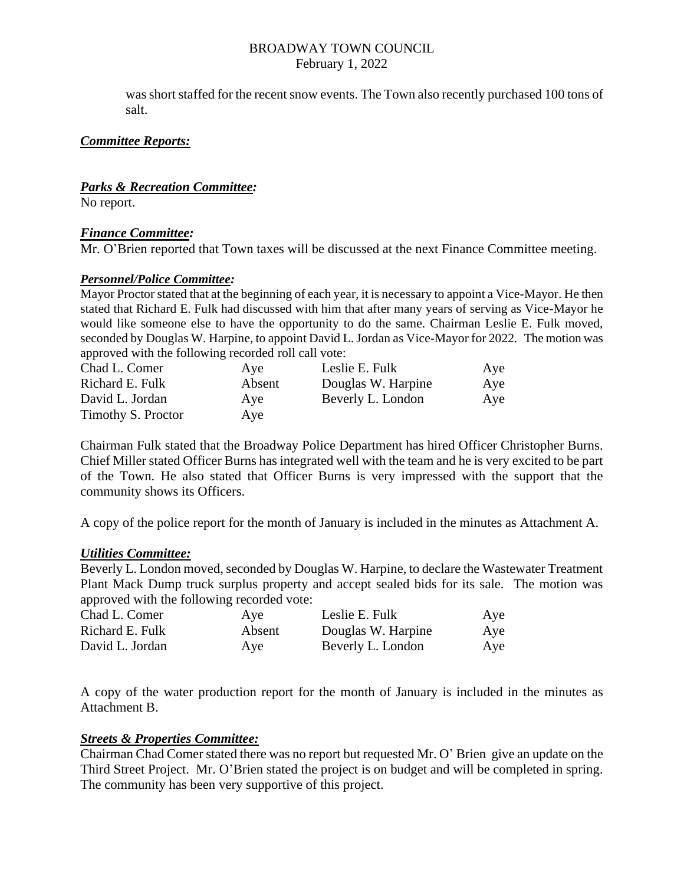#### BROADWAY TOWN COUNCIL February 1, 2022

was short staffed for the recent snow events. The Town also recently purchased 100 tons of salt.

## *Committee Reports:*

## *Parks & Recreation Committee:*

No report.

## *Finance Committee:*

Mr. O'Brien reported that Town taxes will be discussed at the next Finance Committee meeting.

## *Personnel/Police Committee:*

Mayor Proctor stated that at the beginning of each year, it is necessary to appoint a Vice-Mayor. He then stated that Richard E. Fulk had discussed with him that after many years of serving as Vice-Mayor he would like someone else to have the opportunity to do the same. Chairman Leslie E. Fulk moved, seconded by Douglas W. Harpine, to appoint David L. Jordan as Vice-Mayor for 2022. The motion was approved with the following recorded roll call vote:

| Chad L. Comer      | Aye    | Leslie E. Fulk     | Aye |
|--------------------|--------|--------------------|-----|
| Richard E. Fulk    | Absent | Douglas W. Harpine | Aye |
| David L. Jordan    | Ave    | Beverly L. London  | Aye |
| Timothy S. Proctor | Aye    |                    |     |

Chairman Fulk stated that the Broadway Police Department has hired Officer Christopher Burns. Chief Miller stated Officer Burns has integrated well with the team and he is very excited to be part of the Town. He also stated that Officer Burns is very impressed with the support that the community shows its Officers.

A copy of the police report for the month of January is included in the minutes as Attachment A.

#### *Utilities Committee:*

Beverly L. London moved, seconded by Douglas W. Harpine, to declare the Wastewater Treatment Plant Mack Dump truck surplus property and accept sealed bids for its sale. The motion was approved with the following recorded vote:

| Chad L. Comer   | Aye    | Leslie E. Fulk     | Aye |
|-----------------|--------|--------------------|-----|
| Richard E. Fulk | Absent | Douglas W. Harpine | Aye |
| David L. Jordan | Aye    | Beverly L. London  | Aye |

A copy of the water production report for the month of January is included in the minutes as Attachment B.

#### *Streets & Properties Committee:*

Chairman Chad Comer stated there was no report but requested Mr. O' Brien give an update on the Third Street Project. Mr. O'Brien stated the project is on budget and will be completed in spring. The community has been very supportive of this project.